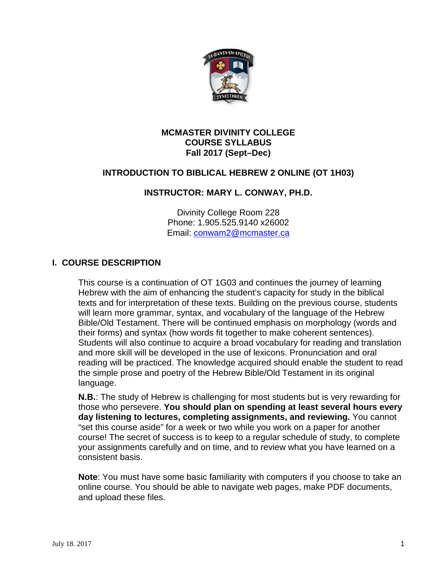

#### **MCMASTER DIVINITY COLLEGE COURSE SYLLABUS Fall 2017 (Sept–Dec)**

## **INTRODUCTION TO BIBLICAL HEBREW 2 ONLINE (OT 1H03)**

## **INSTRUCTOR: MARY L. CONWAY, PH.D.**

Divinity College Room 228 Phone: 1.905.525.9140 x26002 Email: [conwam2@mcmaster.ca](mailto:conwam2@mcmaster.ca)

## **I. COURSE DESCRIPTION**

This course is a continuation of OT 1G03 and continues the journey of learning Hebrew with the aim of enhancing the student's capacity for study in the biblical texts and for interpretation of these texts. Building on the previous course, students will learn more grammar, syntax, and vocabulary of the language of the Hebrew Bible/Old Testament. There will be continued emphasis on morphology (words and their forms) and syntax (how words fit together to make coherent sentences). Students will also continue to acquire a broad vocabulary for reading and translation and more skill will be developed in the use of lexicons. Pronunciation and oral reading will be practiced. The knowledge acquired should enable the student to read the simple prose and poetry of the Hebrew Bible/Old Testament in its original language.

**N.B.**: The study of Hebrew is challenging for most students but is very rewarding for those who persevere. **You should plan on spending at least several hours every day listening to lectures, completing assignments, and reviewing.** You cannot "set this course aside" for a week or two while you work on a paper for another course! The secret of success is to keep to a regular schedule of study, to complete your assignments carefully and on time, and to review what you have learned on a consistent basis.

**Note**: You must have some basic familiarity with computers if you choose to take an online course. You should be able to navigate web pages, make PDF documents, and upload these files.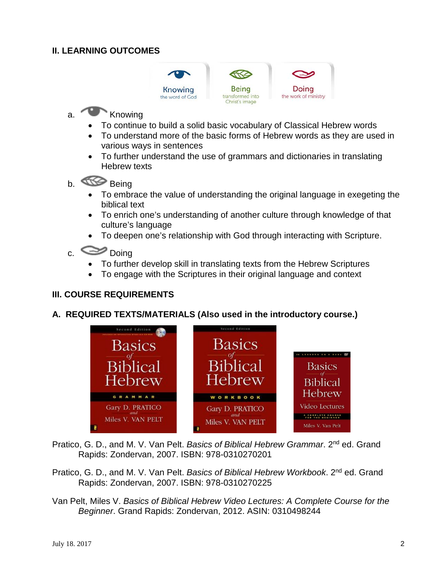## **II. LEARNING OUTCOMES**



# a. Knowing

- To continue to build a solid basic vocabulary of Classical Hebrew words
- To understand more of the basic forms of Hebrew words as they are used in various ways in sentences
- To further understand the use of grammars and dictionaries in translating Hebrew texts
- b. Being
	- To embrace the value of understanding the original language in exegeting the biblical text
	- To enrich one's understanding of another culture through knowledge of that culture's language
	- To deepen one's relationship with God through interacting with Scripture.

# c. Doing

- To further develop skill in translating texts from the Hebrew Scriptures
- To engage with the Scriptures in their original language and context

## **III. COURSE REQUIREMENTS**

## **A. REQUIRED TEXTS/MATERIALS (Also used in the introductory course.)**



Pratico, G. D., and M. V. Van Pelt. *Basics of Biblical Hebrew Grammar*. 2nd ed. Grand Rapids: Zondervan, 2007. ISBN: 978-0310270201

- Pratico, G. D., and M. V. Van Pelt. *Basics of Biblical Hebrew Workbook*. 2nd ed. Grand Rapids: Zondervan, 2007. ISBN: 978-0310270225
- Van Pelt, Miles V. *Basics of Biblical Hebrew Video Lectures: A Complete Course for the Beginner*. Grand Rapids: Zondervan, 2012. ASIN: 0310498244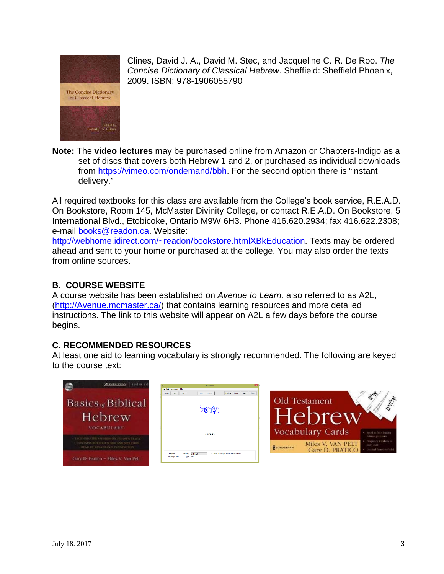

Clines, David J. A., David M. Stec, and Jacqueline C. R. De Roo. *The Concise Dictionary of Classical Hebrew*. Sheffield: Sheffield Phoenix, 2009. ISBN: 978-1906055790



**Note:** The **video lectures** may be purchased online from Amazon or Chapters-Indigo as a set of discs that covers both Hebrew 1 and 2, or purchased as individual downloads from [https://vimeo.com/ondemand/bbh.](https://vimeo.com/ondemand/bbh) For the second option there is "instant delivery."

All required textbooks for this class are available from the College's book service, R.E.A.D. On Bookstore, Room 145, McMaster Divinity College, or contact R.E.A.D. On Bookstore, 5 International Blvd., Etobicoke, Ontario M9W 6H3. Phone 416.620.2934; fax 416.622.2308; e-mail [books@readon.ca.](mailto:books@readon.ca) Website:

[http://webhome.idirect.com/~readon/bookstore.htmlXBkEducation.](http://webhome.idirect.com/%7Ereadon/bookstore.html#BkEducation) Texts may be ordered ahead and sent to your home or purchased at the college. You may also order the texts from online sources.

## **B. COURSE WEBSITE**

A course website has been established on *Avenue to Learn,* also referred to as A2L, [\(http://Avenue.mcmaster.ca/\)](http://avenue.mcmaster.ca/) that contains learning resources and more detailed instructions. The link to this website will appear on A2L a few days before the course begins.

## **C. RECOMMENDED RESOURCES**

At least one aid to learning vocabulary is strongly recommended. The following are keyed to the course text:

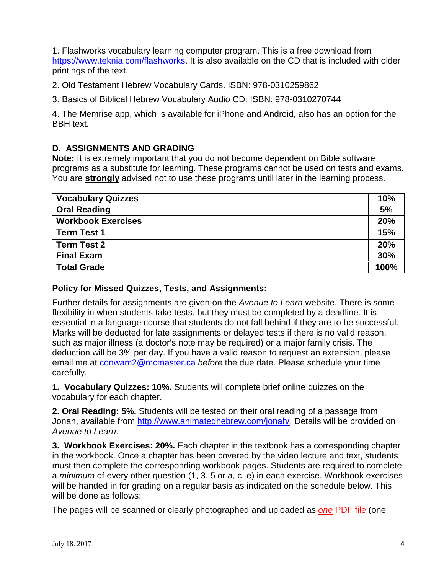1. Flashworks vocabulary learning computer program. This is a free download from [https://www.teknia.com/flashworks.](https://www.teknia.com/flashworks) It is also available on the CD that is included with older printings of the text.

2. Old Testament Hebrew Vocabulary Cards. ISBN: 978-0310259862

3. Basics of Biblical Hebrew Vocabulary Audio CD: ISBN: 978-0310270744

4. The Memrise app, which is available for iPhone and Android, also has an option for the BBH text.

## **D. ASSIGNMENTS AND GRADING**

**Note:** It is extremely important that you do not become dependent on Bible software programs as a substitute for learning. These programs cannot be used on tests and exams. You are **strongly** advised not to use these programs until later in the learning process.

| <b>Vocabulary Quizzes</b> | 10%  |
|---------------------------|------|
| <b>Oral Reading</b>       | 5%   |
| <b>Workbook Exercises</b> | 20%  |
| <b>Term Test 1</b>        | 15%  |
| <b>Term Test 2</b>        | 20%  |
| <b>Final Exam</b>         | 30%  |
| <b>Total Grade</b>        | 100% |

#### **Policy for Missed Quizzes, Tests, and Assignments:**

Further details for assignments are given on the *Avenue to Learn* website. There is some flexibility in when students take tests, but they must be completed by a deadline. It is essential in a language course that students do not fall behind if they are to be successful. Marks will be deducted for late assignments or delayed tests if there is no valid reason, such as major illness (a doctor's note may be required) or a major family crisis. The deduction will be 3% per day. If you have a valid reason to request an extension, please email me at [conwam2@mcmaster.ca](mailto:conwam2@mcmaster.ca) *before* the due date. Please schedule your time carefully.

**1. Vocabulary Quizzes: 10%.** Students will complete brief online quizzes on the vocabulary for each chapter.

**2. Oral Reading: 5%.** Students will be tested on their oral reading of a passage from Jonah, available from [http://www.animatedhebrew.com/jonah/.](http://www.animatedhebrew.com/jonah/) Details will be provided on *Avenue to Learn*.

**3. Workbook Exercises: 20%.** Each chapter in the textbook has a corresponding chapter in the workbook. Once a chapter has been covered by the video lecture and text, students must then complete the corresponding workbook pages. Students are required to complete a *minimum* of every other question (1, 3, 5 or a, c, e) in each exercise. Workbook exercises will be handed in for grading on a regular basis as indicated on the schedule below. This will be done as follows:

The pages will be scanned or clearly photographed and uploaded as *one* PDF file (one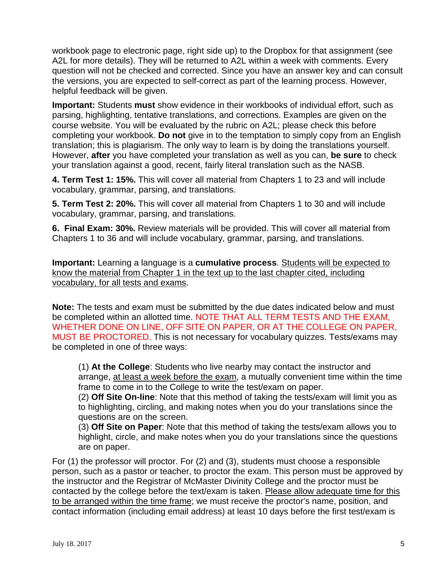workbook page to electronic page, right side up) to the Dropbox for that assignment (see A2L for more details). They will be returned to A2L within a week with comments. Every question will not be checked and corrected. Since you have an answer key and can consult the versions, you are expected to self-correct as part of the learning process. However, helpful feedback will be given.

**Important:** Students **must** show evidence in their workbooks of individual effort, such as parsing, highlighting, tentative translations, and corrections. Examples are given on the course website. You will be evaluated by the rubric on A2L; please check this before completing your workbook. **Do not** give in to the temptation to simply copy from an English translation; this is plagiarism. The only way to learn is by doing the translations yourself. However, **after** you have completed your translation as well as you can, **be sure** to check your translation against a good, recent, fairly literal translation such as the NASB.

**4. Term Test 1: 15%.** This will cover all material from Chapters 1 to 23 and will include vocabulary, grammar, parsing, and translations.

**5. Term Test 2: 20%.** This will cover all material from Chapters 1 to 30 and will include vocabulary, grammar, parsing, and translations.

**6. Final Exam: 30%.** Review materials will be provided. This will cover all material from Chapters 1 to 36 and will include vocabulary, grammar, parsing, and translations.

**Important:** Learning a language is a **cumulative process**. Students will be expected to know the material from Chapter 1 in the text up to the last chapter cited, including vocabulary, for all tests and exams.

**Note:** The tests and exam must be submitted by the due dates indicated below and must be completed within an allotted time. NOTE THAT ALL TERM TESTS AND THE EXAM, WHETHER DONE ON LINE, OFF SITE ON PAPER, OR AT THE COLLEGE ON PAPER, MUST BE PROCTORED. This is not necessary for vocabulary quizzes. Tests/exams may be completed in one of three ways:

(1) **At the College**: Students who live nearby may contact the instructor and arrange, at least a week before the exam, a mutually convenient time within the time frame to come in to the College to write the test/exam on paper.

(2) **Off Site On-line**: Note that this method of taking the tests/exam will limit you as to highlighting, circling, and making notes when you do your translations since the questions are on the screen.

(3) **Off Site on Paper**: Note that this method of taking the tests/exam allows you to highlight, circle, and make notes when you do your translations since the questions are on paper.

For (1) the professor will proctor. For (2) and (3), students must choose a responsible person, such as a pastor or teacher, to proctor the exam. This person must be approved by the instructor and the Registrar of McMaster Divinity College and the proctor must be contacted by the college before the text/exam is taken. Please allow adequate time for this to be arranged within the time frame; we must receive the proctor's name, position, and contact information (including email address) at least 10 days before the first test/exam is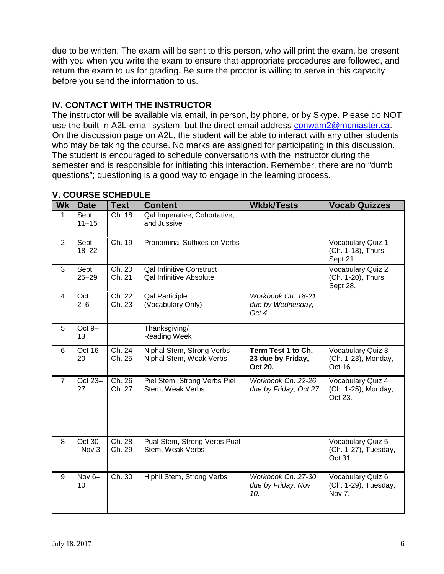due to be written. The exam will be sent to this person, who will print the exam, be present with you when you write the exam to ensure that appropriate procedures are followed, and return the exam to us for grading. Be sure the proctor is willing to serve in this capacity before you send the information to us.

#### **IV. CONTACT WITH THE INSTRUCTOR**

The instructor will be available via email, in person, by phone, or by Skype. Please do NOT use the built-in A2L email system, but the direct email address [conwam2@mcmaster.ca.](mailto:conwam2@mcmaster.ca) On the discussion page on A2L, the student will be able to interact with any other students who may be taking the course. No marks are assigned for participating in this discussion. The student is encouraged to schedule conversations with the instructor during the semester and is responsible for initiating this interaction. Remember, there are no "dumb questions"; questioning is a good way to engage in the learning process.

| <b>Wk</b>      | <b>Date</b>       | <b>Text</b>      | <b>Content</b>                                                    | <b>Wkbk/Tests</b>                                  | <b>Vocab Quizzes</b>                                 |
|----------------|-------------------|------------------|-------------------------------------------------------------------|----------------------------------------------------|------------------------------------------------------|
| $\mathbf{1}$   | Sept<br>$11 - 15$ | Ch. 18           | Qal Imperative, Cohortative,<br>and Jussive                       |                                                    |                                                      |
| $\overline{2}$ | Sept<br>$18 - 22$ | Ch. 19           | Pronominal Suffixes on Verbs                                      |                                                    | Vocabulary Quiz 1<br>(Ch. 1-18), Thurs,<br>Sept 21.  |
| 3              | Sept<br>$25 - 29$ | Ch. 20<br>Ch. 21 | <b>Qal Infinitive Construct</b><br><b>Qal Infinitive Absolute</b> |                                                    | Vocabulary Quiz 2<br>(Ch. 1-20), Thurs,<br>Sept 28.  |
| $\overline{4}$ | Oct<br>$2 - 6$    | Ch. 22<br>Ch. 23 | <b>Qal Participle</b><br>(Vocabulary Only)                        | Workbook Ch. 18-21<br>due by Wednesday,<br>Oct 4.  |                                                      |
| 5              | Oct 9-<br>13      |                  | Thanksgiving/<br><b>Reading Week</b>                              |                                                    |                                                      |
| 6              | Oct 16-<br>20     | Ch. 24<br>Ch. 25 | Niphal Stem, Strong Verbs<br>Niphal Stem, Weak Verbs              | Term Test 1 to Ch.<br>23 due by Friday,<br>Oct 20. | Vocabulary Quiz 3<br>(Ch. 1-23), Monday,<br>Oct 16.  |
| $\overline{7}$ | Oct 23-<br>27     | Ch. 26<br>Ch. 27 | Piel Stem, Strong Verbs Piel<br>Stem, Weak Verbs                  | Workbook Ch. 22-26<br>due by Friday, Oct 27.       | Vocabulary Quiz 4<br>(Ch. 1-25), Monday,<br>Oct 23.  |
| 8              | Oct 30<br>$-Nov3$ | Ch. 28<br>Ch. 29 | Pual Stem, Strong Verbs Pual<br>Stem, Weak Verbs                  |                                                    | Vocabulary Quiz 5<br>(Ch. 1-27), Tuesday,<br>Oct 31. |
| 9              | Nov $6-$<br>10    | Ch. 30           | Hiphil Stem, Strong Verbs                                         | Workbook Ch. 27-30<br>due by Friday, Nov<br>10.    | Vocabulary Quiz 6<br>(Ch. 1-29), Tuesday,<br>Nov 7.  |

#### **V. COURSE SCHEDULE**